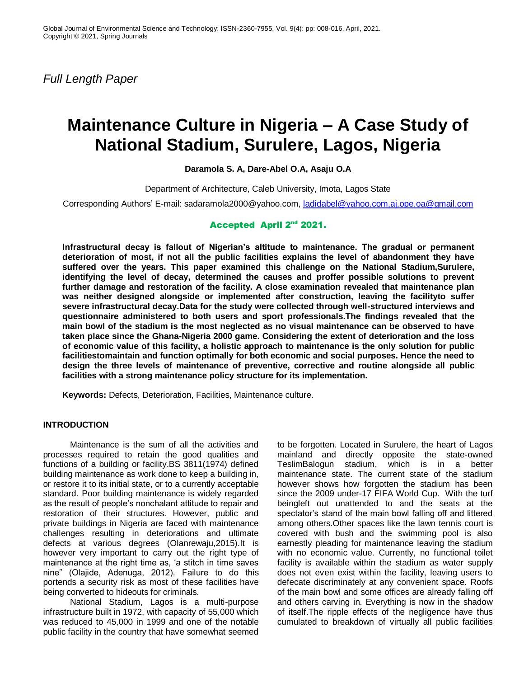*Full Length Paper*

# **Maintenance Culture in Nigeria – A Case Study of National Stadium, Surulere, Lagos, Nigeria**

**Daramola S. A, Dare-Abel O.A, Asaju O.A**

Department of Architecture, Caleb University, Imota, Lagos State

Corresponding Authors" E-mail: sadaramola2000@yahoo.com, [ladidabel@yahoo.com,aj.ope.oa@gmail.com](mailto:ladidabel@yahoo.com,aj.ope.oa@gmail.com)

# Accepted April 2nd 2021.

**Infrastructural decay is fallout of Nigerian's altitude to maintenance. The gradual or permanent deterioration of most, if not all the public facilities explains the level of abandonment they have suffered over the years. This paper examined this challenge on the National Stadium,Surulere, identifying the level of decay, determined the causes and proffer possible solutions to prevent further damage and restoration of the facility. A close examination revealed that maintenance plan was neither designed alongside or implemented after construction, leaving the facilityto suffer severe infrastructural decay.Data for the study were collected through well-structured interviews and questionnaire administered to both users and sport professionals.The findings revealed that the main bowl of the stadium is the most neglected as no visual maintenance can be observed to have taken place since the Ghana-Nigeria 2000 game. Considering the extent of deterioration and the loss of economic value of this facility, a holistic approach to maintenance is the only solution for public facilitiestomaintain and function optimally for both economic and social purposes. Hence the need to design the three levels of maintenance of preventive, corrective and routine alongside all public facilities with a strong maintenance policy structure for its implementation.**

**Keywords:** Defects, Deterioration, Facilities, Maintenance culture.

## **INTRODUCTION**

Maintenance is the sum of all the activities and processes required to retain the good qualities and functions of a building or facility.BS 3811(1974) defined building maintenance as work done to keep a building in, or restore it to its initial state, or to a currently acceptable standard. Poor building maintenance is widely regarded as the result of people"s nonchalant attitude to repair and restoration of their structures. However, public and private buildings in Nigeria are faced with maintenance challenges resulting in deteriorations and ultimate defects at various degrees (Olanrewaju,2015).It is however very important to carry out the right type of maintenance at the right time as, 'a stitch in time saves nine" (Olajide, Adenuga, 2012). Failure to do this portends a security risk as most of these facilities have being converted to hideouts for criminals.

National Stadium, Lagos is a multi-purpose infrastructure built in 1972, with capacity of 55,000 which was reduced to 45,000 in 1999 and one of the notable public facility in the country that have somewhat seemed to be forgotten. Located in Surulere, the heart of Lagos mainland and directly opposite the state-owned TeslimBalogun stadium, which is in a better maintenance state. The current state of the stadium however shows how forgotten the stadium has been since the 2009 under-17 FIFA World Cup. With the turf beingleft out unattended to and the seats at the spectator's stand of the main bowl falling off and littered among others.Other spaces like the lawn tennis court is covered with bush and the swimming pool is also earnestly pleading for maintenance leaving the stadium with no economic value. Currently, no functional toilet facility is available within the stadium as water supply does not even exist within the facility, leaving users to defecate discriminately at any convenient space. Roofs of the main bowl and some offices are already falling off and others carving in. Everything is now in the shadow of itself.The ripple effects of the negligence have thus cumulated to breakdown of virtually all public facilities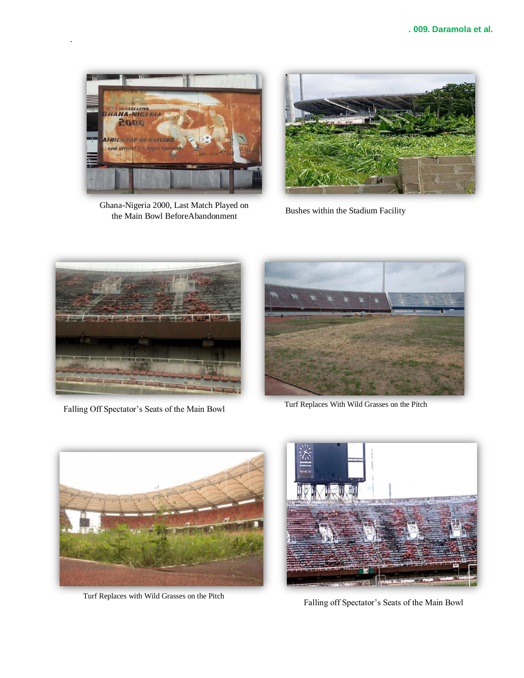

.

Ghana-Nigeria 2000, Last Match Played on the Main Bowl BeforeAbandonment<br>Bushes within the Stadium Facility





Falling Off Spectator's Seats of the Main Bowl Turf Replaces With Wild Grasses on the Pitch





Turf Replaces with Wild Grasses on the Pitch



Falling off Spectator's Seats of the Main Bowl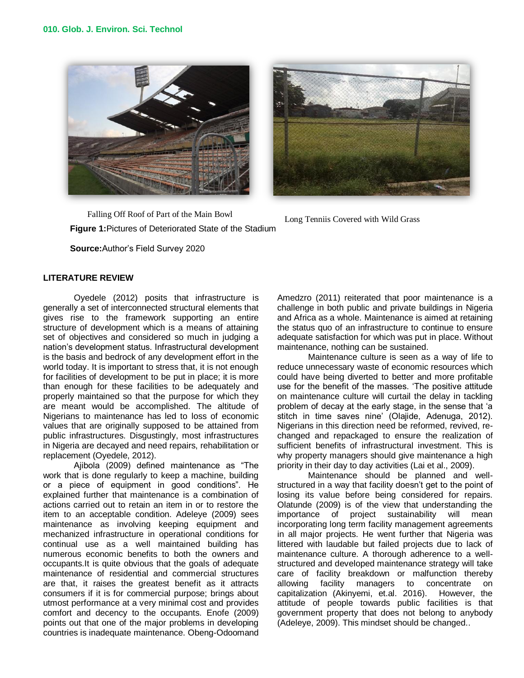



**Figure 1:**Pictures of Deteriorated State of the Stadium Falling Off Roof of Part of the Main Bowl Long Tenniis Covered with Wild Grass

**Source:**Author"s Field Survey 2020

# **LITERATURE REVIEW**

Oyedele (2012) posits that infrastructure is generally a set of interconnected structural elements that gives rise to the framework supporting an entire structure of development which is a means of attaining set of objectives and considered so much in judging a nation"s development status. Infrastructural development is the basis and bedrock of any development effort in the world today. It is important to stress that, it is not enough for facilities of development to be put in place; it is more than enough for these facilities to be adequately and properly maintained so that the purpose for which they are meant would be accomplished. The altitude of Nigerians to maintenance has led to loss of economic values that are originally supposed to be attained from public infrastructures. Disgustingly, most infrastructures in Nigeria are decayed and need repairs, rehabilitation or replacement (Oyedele, 2012).

Ajibola (2009) defined maintenance as "The work that is done regularly to keep a machine, building or a piece of equipment in good conditions". He explained further that maintenance is a combination of actions carried out to retain an item in or to restore the item to an acceptable condition. Adeleye (2009) sees maintenance as involving keeping equipment and mechanized infrastructure in operational conditions for continual use as a well maintained building has numerous economic benefits to both the owners and occupants.It is quite obvious that the goals of adequate maintenance of residential and commercial structures are that, it raises the greatest benefit as it attracts consumers if it is for commercial purpose; brings about utmost performance at a very minimal cost and provides comfort and decency to the occupants. Enofe (2009) points out that one of the major problems in developing countries is inadequate maintenance. Obeng-Odoomand Amedzro (2011) reiterated that poor maintenance is a challenge in both public and private buildings in Nigeria and Africa as a whole. Maintenance is aimed at retaining the status quo of an infrastructure to continue to ensure adequate satisfaction for which was put in place. Without maintenance, nothing can be sustained.

Maintenance culture is seen as a way of life to reduce unnecessary waste of economic resources which could have being diverted to better and more profitable use for the benefit of the masses. "The positive attitude on maintenance culture will curtail the delay in tackling problem of decay at the early stage, in the sense that "a stitch in time saves nine' (Olajide, Adenuga, 2012). Nigerians in this direction need be reformed, revived, rechanged and repackaged to ensure the realization of sufficient benefits of infrastructural investment. This is why property managers should give maintenance a high priority in their day to day activities (Lai et al., 2009).

Maintenance should be planned and wellstructured in a way that facility doesn't get to the point of losing its value before being considered for repairs. Olatunde (2009) is of the view that understanding the importance of project sustainability will mean incorporating long term facility management agreements in all major projects. He went further that Nigeria was littered with laudable but failed projects due to lack of maintenance culture. A thorough adherence to a wellstructured and developed maintenance strategy will take care of facility breakdown or malfunction thereby allowing facility managers to concentrate on capitalization (Akinyemi, et.al. 2016). However, the attitude of people towards public facilities is that government property that does not belong to anybody (Adeleye, 2009). This mindset should be changed..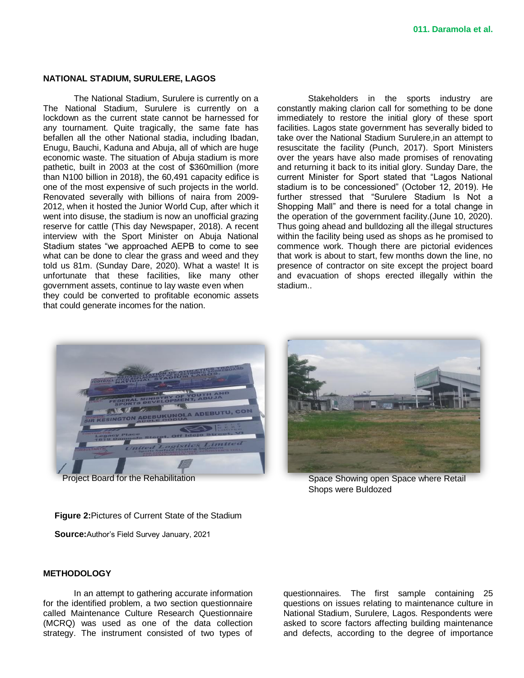#### **NATIONAL STADIUM, SURULERE, LAGOS**

The National Stadium, Surulere is currently on a The National Stadium, Surulere is currently on a lockdown as the current state cannot be harnessed for any tournament. Quite tragically, the same fate has befallen all the other National stadia, including Ibadan, Enugu, Bauchi, Kaduna and Abuja, all of which are huge economic waste. The situation of Abuja stadium is more pathetic, built in 2003 at the cost of \$360million (more than N100 billion in 2018), the 60,491 capacity edifice is one of the most expensive of such projects in the world. Renovated severally with billions of naira from 2009- 2012, when it hosted the Junior World Cup, after which it went into disuse, the stadium is now an unofficial grazing reserve for cattle (This day Newspaper, 2018). A recent interview with the Sport Minister on Abuja National Stadium states "we approached AEPB to come to see what can be done to clear the grass and weed and they told us 81m. (Sunday Dare, 2020). What a waste! It is unfortunate that these facilities, like many other government assets, continue to lay waste even when they could be converted to profitable economic assets that could generate incomes for the nation.

Stakeholders in the sports industry are constantly making clarion call for something to be done immediately to restore the initial glory of these sport facilities. Lagos state government has severally bided to take over the National Stadium Surulere,in an attempt to resuscitate the facility (Punch, 2017). Sport Ministers over the years have also made promises of renovating and returning it back to its initial glory. Sunday Dare, the current Minister for Sport stated that "Lagos National stadium is to be concessioned" (October 12, 2019). He further stressed that "Surulere Stadium Is Not a Shopping Mall" and there is need for a total change in the operation of the government facility.(June 10, 2020). Thus going ahead and bulldozing all the illegal structures within the facility being used as shops as he promised to commence work. Though there are pictorial evidences that work is about to start, few months down the line, no presence of contractor on site except the project board and evacuation of shops erected illegally within the stadium..





Project Board for the Rehabilitation Summan Space Showing open Space where Retail Shops were Buldozed

**Figure 2:**Pictures of Current State of the Stadium

**Source:**Author"s Field Survey January, 2021

#### **METHODOLOGY**

In an attempt to gathering accurate information for the identified problem, a two section questionnaire called Maintenance Culture Research Questionnaire (MCRQ) was used as one of the data collection strategy. The instrument consisted of two types of questionnaires. The first sample containing 25 questions on issues relating to maintenance culture in National Stadium, Surulere, Lagos. Respondents were asked to score factors affecting building maintenance and defects, according to the degree of importance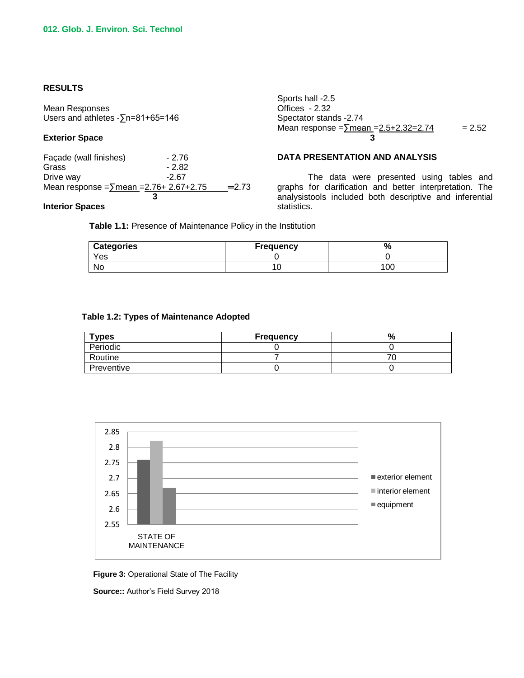## **RESULTS**

Mean Responses Users and athletes -∑n=81+65=146

## **Exterior Space**

Façade (wall finishes) - 2.76 Grass - 2.82 Drive way **-2.67** Mean response = $\sum$ mean = $2.76 + 2.67 + 2.75$  = 2.73 **3 3 3 3** 

Sports hall -2.5 Offices - 2.32 Spectator stands -2.74 Mean response = $\sqrt{2}$ mean = $2.5 + 2.32 = 2.74$  = 2.52 **3** 3

# **DATA PRESENTATION AND ANALYSIS**

The data were presented using tables and graphs for clarification and better interpretation. The analysistools included both descriptive and inferential statistics.

### **Interior Spaces**

**Table 1.1:** Presence of Maintenance Policy in the Institution

| <b>Categories</b> | <b>Frequency</b> | 70  |
|-------------------|------------------|-----|
| Yes               |                  |     |
| N0                |                  | 100 |

#### **Table 1.2: Types of Maintenance Adopted**

| $T$ ypes   | <b>Frequency</b> | ℀ |
|------------|------------------|---|
| Periodic   |                  |   |
| Routine    |                  |   |
| Preventive |                  |   |



**Figure 3:** Operational State of The Facility

**Source::** Author"s Field Survey 2018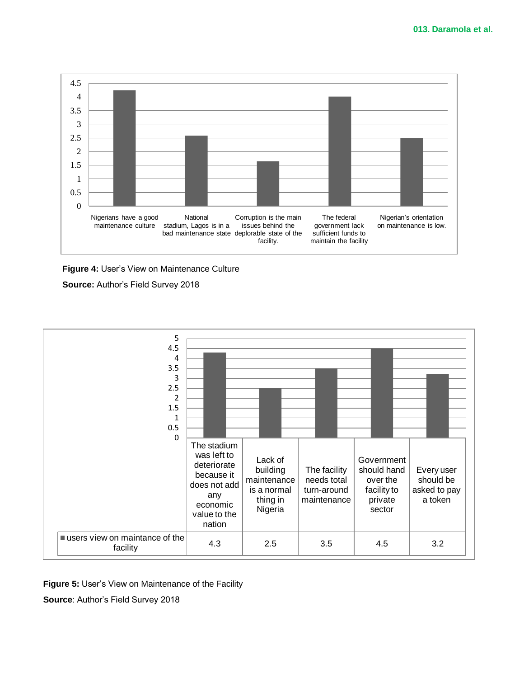

**Figure 4:** User"s View on Maintenance Culture

**Source:** Author"s Field Survey 2018



**Figure 5: User's View on Maintenance of the Facility** 

**Source**: Author"s Field Survey 2018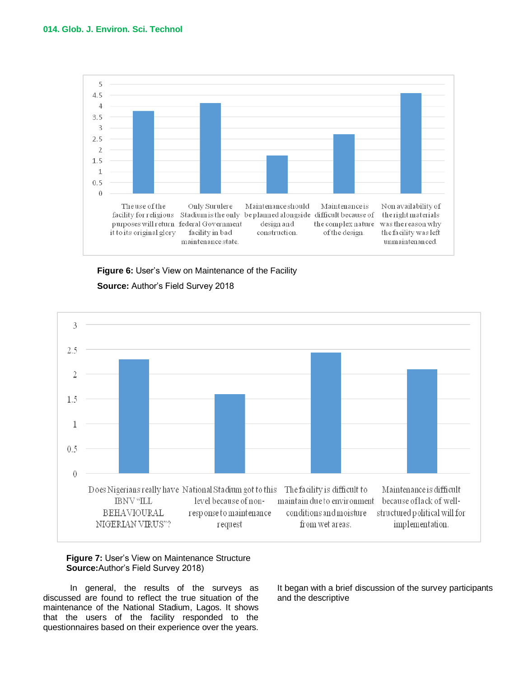





## **Figure 7: User's View on Maintenance Structure Source:**Author"s Field Survey 2018)

In general, the results of the surveys as discussed are found to reflect the true situation of the maintenance of the National Stadium, Lagos. It shows that the users of the facility responded to the questionnaires based on their experience over the years. It began with a brief discussion of the survey participants and the descriptive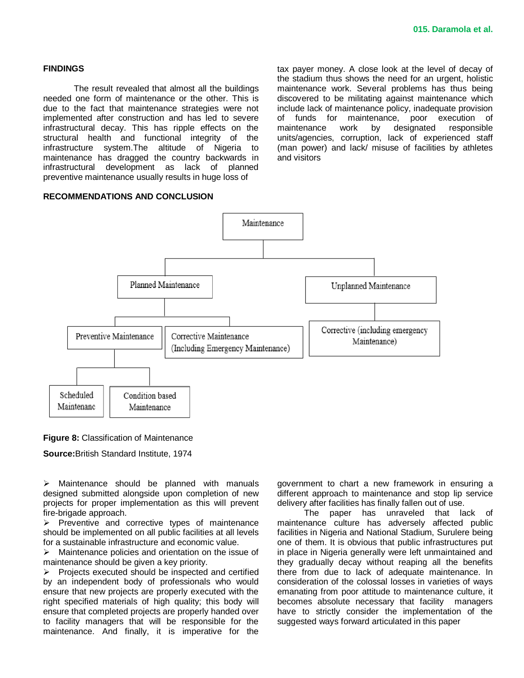#### **FINDINGS**

The result revealed that almost all the buildings needed one form of maintenance or the other. This is due to the fact that maintenance strategies were not implemented after construction and has led to severe infrastructural decay. This has ripple effects on the structural health and functional integrity of the infrastructure system.The altitude of Nigeria to maintenance has dragged the country backwards in infrastructural development as lack of planned preventive maintenance usually results in huge loss of

## tax payer money. A close look at the level of decay of the stadium thus shows the need for an urgent, holistic maintenance work. Several problems has thus being discovered to be militating against maintenance which include lack of maintenance policy, inadequate provision of funds for maintenance, poor execution of maintenance work by designated responsible units/agencies, corruption, lack of experienced staff (man power) and lack/ misuse of facilities by athletes and visitors

## **RECOMMENDATIONS AND CONCLUSION**



**Figure 8:** Classification of Maintenance

**Source:**British Standard Institute, 1974

 $\triangleright$  Maintenance should be planned with manuals designed submitted alongside upon completion of new projects for proper implementation as this will prevent fire-brigade approach.

 $\triangleright$  Preventive and corrective types of maintenance should be implemented on all public facilities at all levels for a sustainable infrastructure and economic value.

 $\triangleright$  Maintenance policies and orientation on the issue of maintenance should be given a key priority.

 $\triangleright$  Projects executed should be inspected and certified by an independent body of professionals who would ensure that new projects are properly executed with the right specified materials of high quality; this body will ensure that completed projects are properly handed over to facility managers that will be responsible for the maintenance. And finally, it is imperative for the government to chart a new framework in ensuring a different approach to maintenance and stop lip service delivery after facilities has finally fallen out of use.

The paper has unraveled that lack of maintenance culture has adversely affected public facilities in Nigeria and National Stadium, Surulere being one of them. It is obvious that public infrastructures put in place in Nigeria generally were left unmaintained and they gradually decay without reaping all the benefits there from due to lack of adequate maintenance. In consideration of the colossal losses in varieties of ways emanating from poor attitude to maintenance culture, it becomes absolute necessary that facility managers have to strictly consider the implementation of the suggested ways forward articulated in this paper